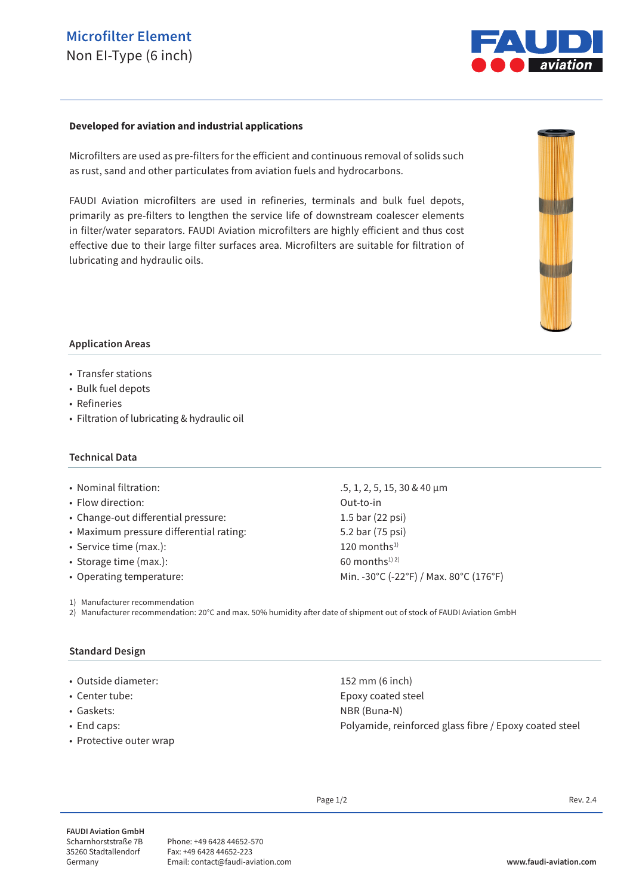# **Microfilter Element** Non EI-Type (6 inch)



#### **Developed for aviation and industrial applications**

Microfilters are used as pre-filters for the efficient and continuous removal of solids such as rust, sand and other particulates from aviation fuels and hydrocarbons.

FAUDI Aviation microfilters are used in refineries, terminals and bulk fuel depots, primarily as pre-filters to lengthen the service life of downstream coalescer elements in filter/water separators. FAUDI Aviation microfilters are highly efficient and thus cost effective due to their large filter surfaces area. Microfilters are suitable for filtration of lubricating and hydraulic oils.



#### **Application Areas**

- Transfer stations
- Bulk fuel depots
- Refineries
- Filtration of lubricating & hydraulic oil

#### **Technical Data**

- Nominal filtration: .5, 1, 2, 5, 15, 30 & 40 μm
- Flow direction: Out-to-in
- Change-out differential pressure: 1.5 bar (22 psi)
- Maximum pressure differential rating: 5.2 bar (75 psi)
- Service time (max.): 120 months<sup>1)</sup>
- Storage time (max.):  $60$  months<sup>1) 2)</sup>
- 

1) Manufacturer recommendation

2) Manufacturer recommendation: 20°C and max. 50% humidity after date of shipment out of stock of FAUDI Aviation GmbH

### **Standard Design**

- Outside diameter: 152 mm (6 inch)
- 
- 
- 
- Protective outer wrap

• Operating temperature: Min. -30°C (-22°F) / Max. 80°C (176°F)

• Center tube: Epoxy coated steel • Gaskets: NBR (Buna-N) • End caps: Polyamide, reinforced glass fibre / Epoxy coated steel

Page  $1/2$  Rev. 2.4